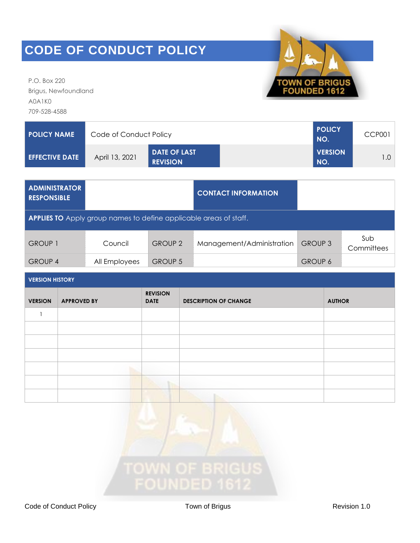P.O. Box 220 Brigus, Newfoundland A0A1K0 709-528-4588



| <b>POLICY NAME</b>    | Code of Conduct Policy | I POLICY<br>NO.                        | CCP001                |  |
|-----------------------|------------------------|----------------------------------------|-----------------------|--|
| <b>EFFECTIVE DATE</b> | April 13, 2021         | <b>DATE OF LAST</b><br><b>REVISION</b> | <b>VERSION</b><br>NO. |  |

| <b>ADMINISTRATOR</b><br><b>RESPONSIBLE</b>                               |               |                | <b>CONTACT INFORMATION</b> |                |                   |  |
|--------------------------------------------------------------------------|---------------|----------------|----------------------------|----------------|-------------------|--|
| <b>APPLIES TO</b> Apply group names to define applicable areas of staff. |               |                |                            |                |                   |  |
| <b>GROUP 1</b>                                                           | Council       | <b>GROUP 2</b> | Management/Administration  | <b>GROUP 3</b> | Sub<br>Committees |  |
| <b>GROUP 4</b>                                                           | All Employees | <b>GROUP 5</b> |                            | <b>GROUP 6</b> |                   |  |

| <b>VERSION</b> | <b>APPROVED BY</b> | <b>REVISION</b><br><b>DATE</b> | <b>DESCRIPTION OF CHANGE</b> | <b>AUTHOR</b> |  |
|----------------|--------------------|--------------------------------|------------------------------|---------------|--|
|                |                    |                                |                              |               |  |
|                |                    |                                |                              |               |  |
|                |                    |                                |                              |               |  |
|                |                    |                                |                              |               |  |
|                |                    |                                |                              |               |  |
|                |                    |                                |                              |               |  |
|                |                    |                                |                              |               |  |

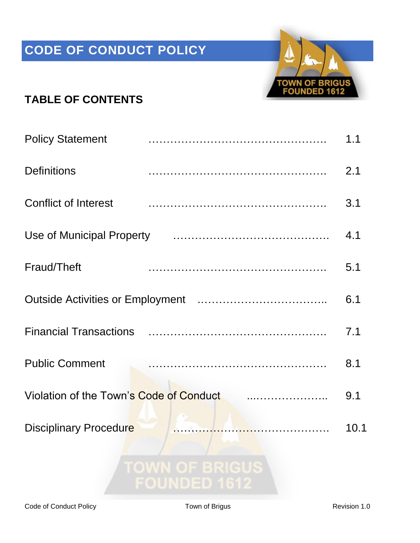

### **TABLE OF CONTENTS**

| <b>Policy Statement</b>                 |                                                                                                                       | 1.1  |
|-----------------------------------------|-----------------------------------------------------------------------------------------------------------------------|------|
| <b>Definitions</b>                      |                                                                                                                       | 2.1  |
| <b>Conflict of Interest</b>             |                                                                                                                       | 3.1  |
| Use of Municipal Property               |                                                                                                                       | 4.1  |
| Fraud/Theft                             |                                                                                                                       | 5.1  |
|                                         |                                                                                                                       | 6.1  |
|                                         |                                                                                                                       | 7.1  |
| <b>Public Comment</b>                   |                                                                                                                       | 8.1  |
| Violation of the Town's Code of Conduct |                                                                                                                       | 9.1  |
| <b>Disciplinary Procedure</b>           | <u> 150 - 151 - 151 - 151 - 151 - 151 - 151 - 151 - 151 - 151 - 151 - 151 - 151 - 151 - 151 - 151 - 151 - 151 - 1</u> | 10.1 |
|                                         | <b>TOWN OF BRIGUS</b><br>$\bigcap$ iinimen 40                                                                         |      |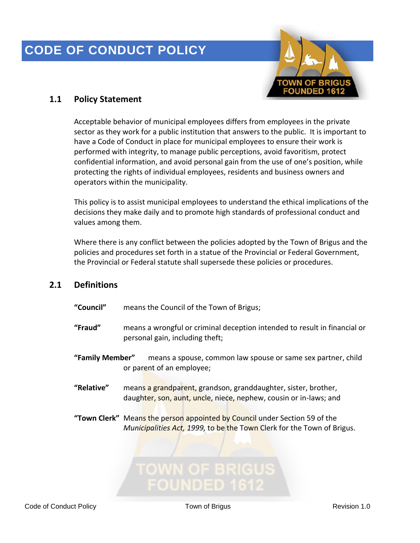

#### **1.1 Policy Statement**

Acceptable behavior of municipal employees differs from employees in the private sector as they work for a public institution that answers to the public. It is important to have a Code of Conduct in place for municipal employees to ensure their work is performed with integrity, to manage public perceptions, avoid favoritism, protect confidential information, and avoid personal gain from the use of one's position, while protecting the rights of individual employees, residents and business owners and operators within the municipality.

This policy is to assist municipal employees to understand the ethical implications of the decisions they make daily and to promote high standards of professional conduct and values among them.

Where there is any conflict between the policies adopted by the Town of Brigus and the policies and procedures set forth in a statue of the Provincial or Federal Government, the Provincial or Federal statute shall supersede these policies or procedures.

#### **2.1 Definitions**

- **"Council"** means the Council of the Town of Brigus;
- **"Fraud"** means a wrongful or criminal deception intended to result in financial or personal gain, including theft;
- **"Family Member"** means a spouse, common law spouse or same sex partner, child or parent of an employee;
- **"Relative"** means a grandparent, grandson, granddaughter, sister, brother, daughter, son, aunt, uncle, niece, nephew, cousin or in-laws; and
- **"Town Clerk"** Means the person appointed by Council under Section 59 of the *Municipalities Act, 1999,* to be the Town Clerk for the Town of Brigus.

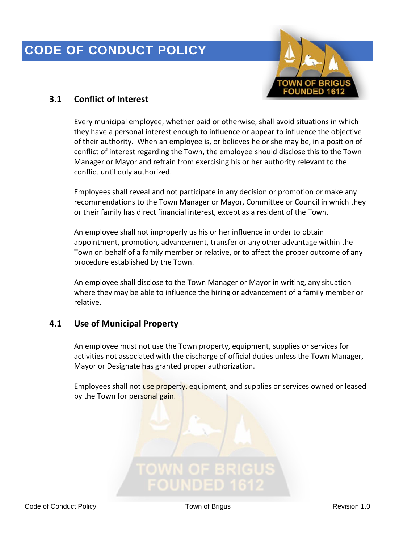

### **3.1 Conflict of Interest**

Every municipal employee, whether paid or otherwise, shall avoid situations in which they have a personal interest enough to influence or appear to influence the objective of their authority. When an employee is, or believes he or she may be, in a position of conflict of interest regarding the Town, the employee should disclose this to the Town Manager or Mayor and refrain from exercising his or her authority relevant to the conflict until duly authorized.

Employees shall reveal and not participate in any decision or promotion or make any recommendations to the Town Manager or Mayor, Committee or Council in which they or their family has direct financial interest, except as a resident of the Town.

An employee shall not improperly us his or her influence in order to obtain appointment, promotion, advancement, transfer or any other advantage within the Town on behalf of a family member or relative, or to affect the proper outcome of any procedure established by the Town.

An employee shall disclose to the Town Manager or Mayor in writing, any situation where they may be able to influence the hiring or advancement of a family member or relative.

### **4.1 Use of Municipal Property**

An employee must not use the Town property, equipment, supplies or services for activities not associated with the discharge of official duties unless the Town Manager, Mayor or Designate has granted proper authorization.

Employees shall not use property, equipment, and supplies or services owned or leased by the Town for personal gain.

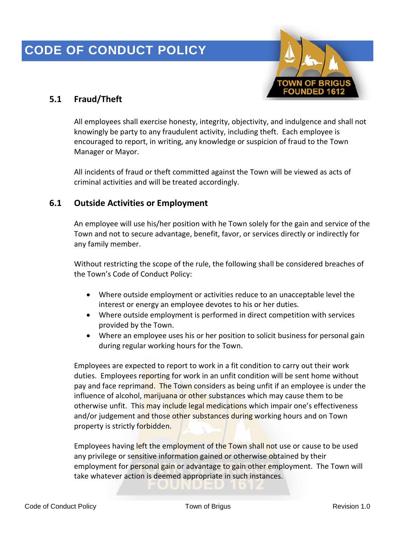

### **5.1 Fraud/Theft**

All employees shall exercise honesty, integrity, objectivity, and indulgence and shall not knowingly be party to any fraudulent activity, including theft. Each employee is encouraged to report, in writing, any knowledge or suspicion of fraud to the Town Manager or Mayor.

All incidents of fraud or theft committed against the Town will be viewed as acts of criminal activities and will be treated accordingly.

#### **6.1 Outside Activities or Employment**

An employee will use his/her position with he Town solely for the gain and service of the Town and not to secure advantage, benefit, favor, or services directly or indirectly for any family member.

Without restricting the scope of the rule, the following shall be considered breaches of the Town's Code of Conduct Policy:

- Where outside employment or activities reduce to an unacceptable level the interest or energy an employee devotes to his or her duties.
- Where outside employment is performed in direct competition with services provided by the Town.
- Where an employee uses his or her position to solicit business for personal gain during regular working hours for the Town.

Employees are expected to report to work in a fit condition to carry out their work duties. Employees reporting for work in an unfit condition will be sent home without pay and face reprimand. The Town considers as being unfit if an employee is under the influence of alcohol, marijuana or other substances which may cause them to be otherwise unfit. This may include legal medications which impair one's effectiveness and/or judgement and those other substances during working hours and on Town property is strictly forbidden.

Employees having left the employment of the Town shall not use or cause to be used any privilege or sensitive information gained or otherwise obtained by their employment for personal gain or advantage to gain other employment. The Town will take whatever action is deemed appropriate in such instances.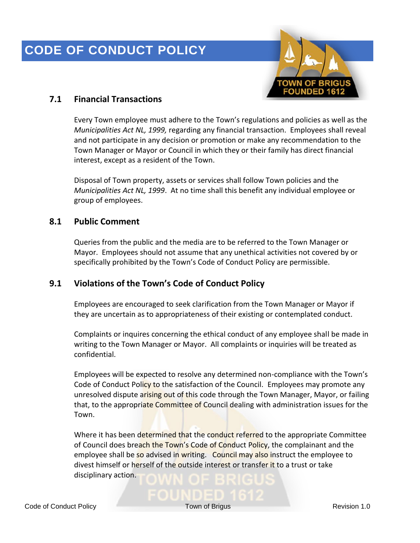

### **7.1 Financial Transactions**

Every Town employee must adhere to the Town's regulations and policies as well as the *Municipalities Act NL, 1999,* regarding any financial transaction. Employees shall reveal and not participate in any decision or promotion or make any recommendation to the Town Manager or Mayor or Council in which they or their family has direct financial interest, except as a resident of the Town.

Disposal of Town property, assets or services shall follow Town policies and the *Municipalities Act NL, 1999*. At no time shall this benefit any individual employee or group of employees.

#### **8.1 Public Comment**

Queries from the public and the media are to be referred to the Town Manager or Mayor. Employees should not assume that any unethical activities not covered by or specifically prohibited by the Town's Code of Conduct Policy are permissible.

#### **9.1 Violations of the Town's Code of Conduct Policy**

Employees are encouraged to seek clarification from the Town Manager or Mayor if they are uncertain as to appropriateness of their existing or contemplated conduct.

Complaints or inquires concerning the ethical conduct of any employee shall be made in writing to the Town Manager or Mayor. All complaints or inquiries will be treated as confidential.

Employees will be expected to resolve any determined non-compliance with the Town's Code of Conduct Policy to the satisfaction of the Council. Employees may promote any unresolved dispute arising out of this code through the Town Manager, Mayor, or failing that, to the appropriate Committee of Council dealing with administration issues for the Town.

Where it has been determined that the conduct referred to the appropriate Committee of Council does breach the Town's Code of Conduct Policy, the complainant and the employee shall be so advised in writing. Council may also instruct the employee to divest himself or herself of the outside interest or transfer it to a trust or take disciplinary action.